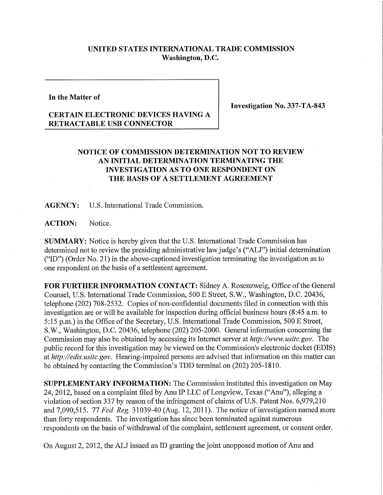## **UNITED STATES INTERNATIONAL TRADE COMMISSION Washington, D.C.**

**In the Matter of** 

**Investigation No. 337-TA-843** 

## **CERTAIN ELECTRONIC DEVICES HAVING A RETRACTABLE USB CONNECTOR**

## **NOTICE OF COMMISSION DETERMINATION NOT TO REVIEW AN INITIAL DETERMINATION TERMINATING THE INVESTIGATION AS TO ONE RESPONDENT ON**  THE BASIS OF A SETTLEMENT AGREEMENT

**AGENCY:** U.S. International Trade Commission.

**ACTION:** Notice.

**SUMMARY:** Notice is hereby given that the U.S. International Trade Commission has determined not to review the presiding administrative law judge's ("ALJ") initial determination ("ID") (Order No. 21) in the above-captioned investigation terminating the investigation as to one respondent on the basis of a settlement agreement.

**FOR FURTHER INFORMATION CONTACT:** Sidney A. Rosenzweig, Office of the General Counsel, U.S. International Trade Commission, 500 E Street, S.W., Washington, D.C. 20436, telephone (202) 708-2532. Copies of non-confidential documents filed in connection with this investigation are or will be available for inspection during official business hours (8:45 a.m. to 5:15 p.m.) in the Office of the Secretary, U.S. International Trade Commission, 500 E Street, S.W., Washington, D.C. 20436, telephone (202) 205-2000. General information concerning the Commission may also be obtained by accessing its Internet server at *http://www. usitc.gov.* The public record for this investigation may be viewed on the Commission's electronic docket (EDIS) at *http://edis.usitc.gov.* Hearing-impaired persons are advised that information on this matter can be obtained by contacting the Commission's TDD terminal on (202) 205-1810.

**SUPPLEMENTARY INFORMATION:** The Commission instituted this investigation on May 24,2012, based on a complaint filed by Anu IP LLC of Longview, Texas ("Anu"), alleging a violation of section 337 by reason of the infringement of claims of U.S. Patent Nos. 6,979,210 and 7,090,515. 77 *Fed, Reg.* 31039-40 (Aug. 12, 2011). The notice of investigation named more than forty respondents. The investigation has since been terminated against numerous respondents on the basis of withdrawal of the complaint, settlement agreement, or consent order.

On August 2, 2012, the ALJ issued an ID granting the joint unopposed motion of Anu and